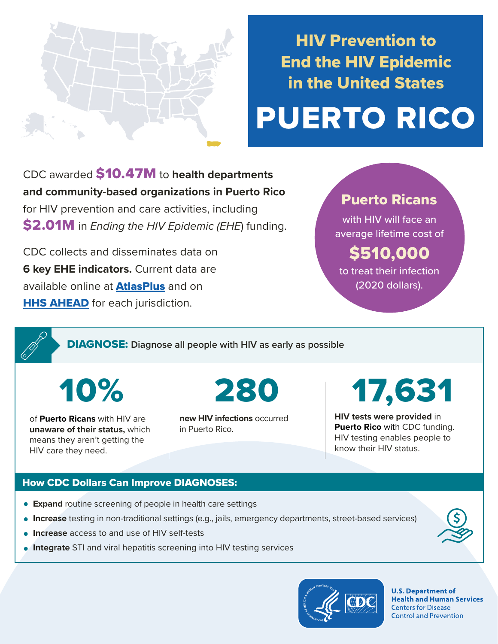

## HIV Prevention to End the HIV Epidemic in the United States

# PUERTO RICO

CDC awarded \$10.47M to **health departments and community-based organizations in Puerto Rico**  for HIV prevention and care activities, including \$2.01M in *Ending the HIV Epidemic (EHE*) funding.

CDC collects and disseminates data on **6 key EHE indicators.** Current data are available online at **[AtlasPlus](https://www.cdc.gov/nchhstp/atlas/index.htm)** and on **[HHS AHEAD](https://ahead.hiv.gov/)** for each jurisdiction.

### Puerto Ricans

with HIV will face an average lifetime cost of

## \$510,000

to treat their infection (2020 dollars).

DIAGNOSE: **Diagnose all people with HIV as early as possible** 

10%

of **Puerto Ricans** with HIV are **unaware of their status,** which means they aren't getting the HIV care they need.

**new HIV infections** occurred in Puerto Rico.

## 280 17,631

**HIV tests were provided** in **Puerto Rico** with CDC funding. HIV testing enables people to know their HIV status.

#### How CDC Dollars Can Improve DIAGNOSES:

- **Expand** routine screening of people in health care settings
- **Increase** testing in non-traditional settings (e.g., jails, emergency departments, street-based services)
- **Increase** access to and use of HIV self-tests
- **Integrate** STI and viral hepatitis screening into HIV testing services



**U.S. Department of Health and Human Services Centers for Disease Control and Prevention**